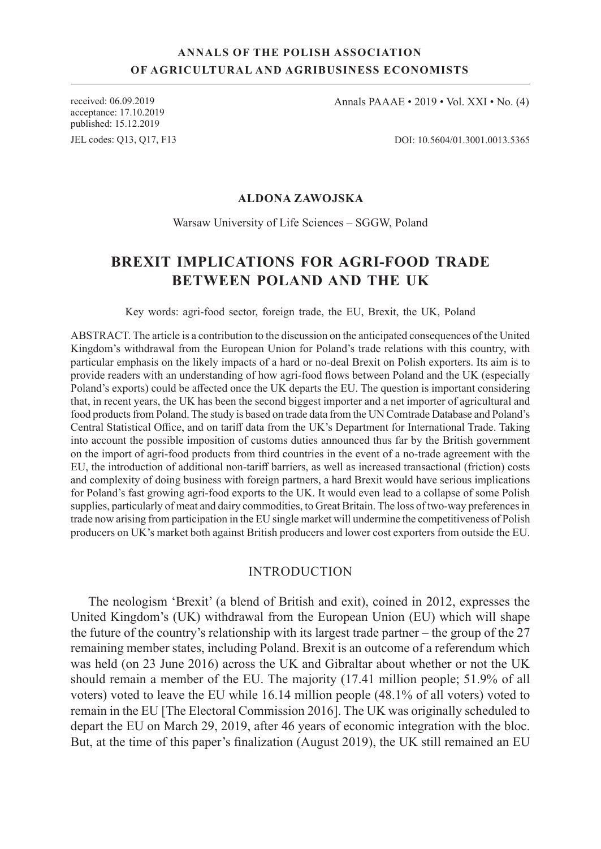# **ANNALS OF THE POLISH ASSOCIATION OF AGRICULTURAL AND AGRIBUSINESS ECONOMISTS**

acceptance: 17.10.2019 published: 15.12.2019

JEL codes: Q13, Q17, F13

received: 06.09.2019 Annals PAAAE • 2019 • Vol. XXI • No. (4)

DOI: 10.5604/01.3001.0013.5365

### **ALDONA ZAWOJSKA**

#### Warsaw University of Life Sciences – SGGW, Poland

# **BREXIT IMPLICATIONS FOR AGRI-FOOD TRADE BETWEEN POLAND AND THE UK**

Key words: agri-food sector, foreign trade, the EU, Brexit, the UK, Poland

ABSTRACT. The article is a contribution to the discussion on the anticipated consequences of the United Kingdom's withdrawal from the European Union for Poland's trade relations with this country, with particular emphasis on the likely impacts of a hard or no-deal Brexit on Polish exporters. Its aim is to provide readers with an understanding of how agri-food flows between Poland and the UK (especially Poland's exports) could be affected once the UK departs the EU. The question is important considering that, in recent years, the UK has been the second biggest importer and a net importer of agricultural and food products from Poland. The study is based on trade data from the UN Comtrade Database and Poland's Central Statistical Office, and on tariff data from the UK's Department for International Trade. Taking into account the possible imposition of customs duties announced thus far by the British government on the import of agri-food products from third countries in the event of a no-trade agreement with the EU, the introduction of additional non-tariff barriers, as well as increased transactional (friction) costs and complexity of doing business with foreign partners, a hard Brexit would have serious implications for Poland's fast growing agri-food exports to the UK. It would even lead to a collapse of some Polish supplies, particularly of meat and dairy commodities, to Great Britain. The loss of two-way preferences in trade now arising from participation in the EU single market will undermine the competitiveness of Polish producers on UK's market both against British producers and lower cost exporters from outside the EU.

### INTRODUCTION

The neologism 'Brexit' (a blend of British and exit), coined in 2012, expresses the United Kingdom's (UK) withdrawal from the European Union (EU) which will shape the future of the country's relationship with its largest trade partner – the group of the 27 remaining member states, including Poland. Brexit is an outcome of a referendum which was held (on 23 June 2016) across the UK and Gibraltar about whether or not the UK should remain a member of the EU. The majority (17.41 million people; 51.9% of all voters) voted to leave the EU while 16.14 million people (48.1% of all voters) voted to remain in the EU [The Electoral Commission 2016]. The UK was originally scheduled to depart the EU on March 29, 2019, after 46 years of economic integration with the bloc. But, at the time of this paper's finalization (August 2019), the UK still remained an EU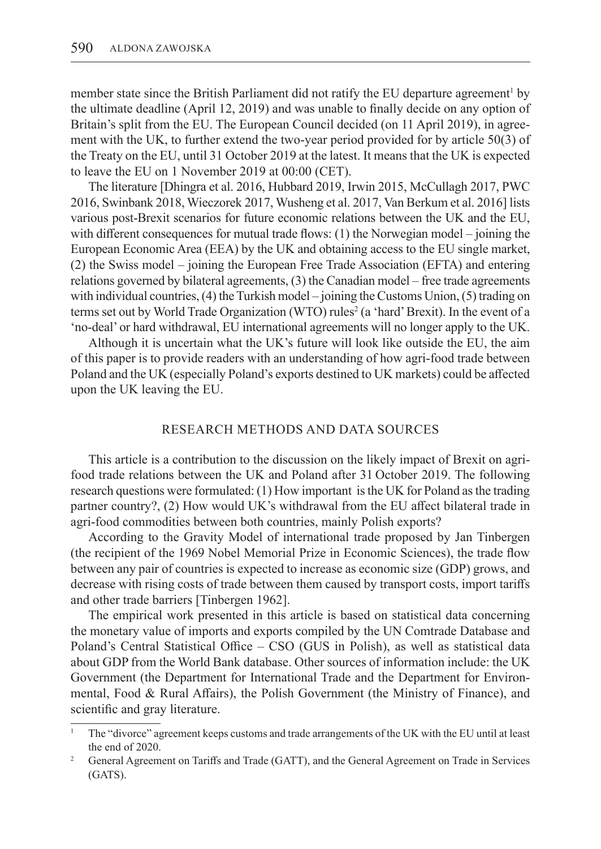member state since the British Parliament did not ratify the EU departure agreement<sup>1</sup> by the ultimate deadline (April 12, 2019) and was unable to finally decide on any option of Britain's split from the EU. The European Council decided (on 11 April 2019), in agreement with the UK, to further extend the two-year period provided for by article 50(3) of the Treaty on the EU, until 31 October 2019 at the latest. It means that the UK is expected to leave the EU on 1 November 2019 at 00:00 (CET).

The literature [Dhingra et al. 2016, Hubbard 2019, Irwin 2015, McCullagh 2017, PWC 2016, Swinbank 2018, Wieczorek 2017, Wusheng et al. 2017, Van Berkum et al. 2016] lists various post-Brexit scenarios for future economic relations between the UK and the EU, with different consequences for mutual trade flows: (1) the Norwegian model – joining the European Economic Area (EEA) by the UK and obtaining access to the EU single market, (2) the Swiss model – joining the European Free Trade Association (EFTA) and entering relations governed by bilateral agreements, (3) the Canadian model – free trade agreements with individual countries, (4) the Turkish model – joining the Customs Union, (5) trading on terms set out by World Trade Organization (WTO) rules<sup>2</sup> (a 'hard' Brexit). In the event of a 'no-deal' or hard withdrawal, EU international agreements will no longer apply to the UK.

Although it is uncertain what the UK's future will look like outside the EU, the aim of this paper is to provide readers with an understanding of how agri-food trade between Poland and the UK (especially Poland's exports destined to UK markets) could be affected upon the UK leaving the EU.

### RESEARCH METHODS AND DATA SOURCES

This article is a contribution to the discussion on the likely impact of Brexit on agrifood trade relations between the UK and Poland after 31 October 2019. The following research questions were formulated: (1) How important is the UK for Poland as the trading partner country?, (2) How would UK's withdrawal from the EU affect bilateral trade in agri-food commodities between both countries, mainly Polish exports?

According to the Gravity Model of international trade proposed by Jan Tinbergen (the recipient of the 1969 Nobel Memorial Prize in Economic Sciences), the trade flow between any pair of countries is expected to increase as economic size (GDP) grows, and decrease with rising costs of trade between them caused by transport costs, import tariffs and other trade barriers [Tinbergen 1962].

The empirical work presented in this article is based on statistical data concerning the monetary value of imports and exports compiled by the UN Comtrade Database and Poland's Central Statistical Office – CSO (GUS in Polish), as well as statistical data about GDP from the World Bank database. Other sources of information include: the UK Government (the Department for International Trade and the Department for Environmental, Food & Rural Affairs), the Polish Government (the Ministry of Finance), and scientific and gray literature.

<sup>1</sup> The "divorce" agreement keeps customs and trade arrangements of the UK with the EU until at least the end of 2020.

<sup>&</sup>lt;sup>2</sup> General Agreement on Tariffs and Trade (GATT), and the General Agreement on Trade in Services (GATS).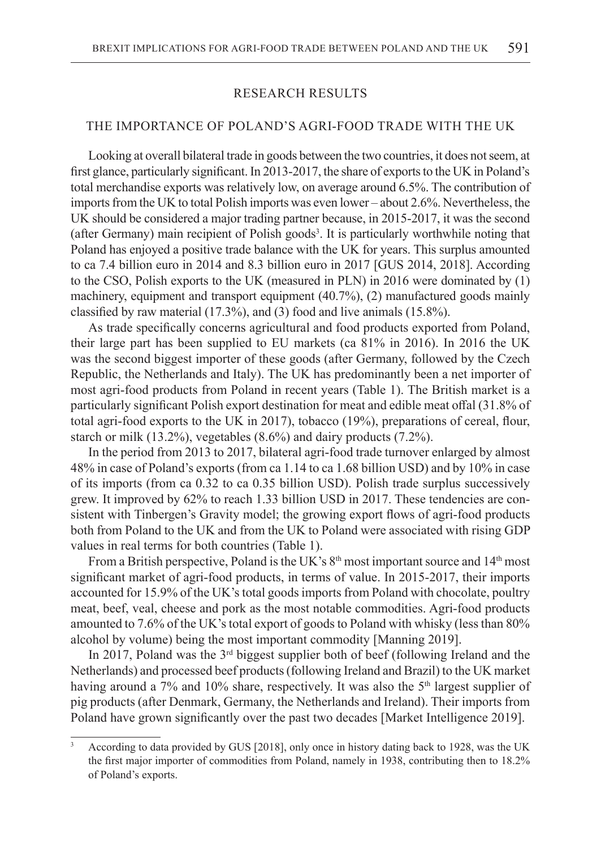## RESEARCH RESULTS

# THE IMPORTANCE OF POLAND'S AGRI-FOOD TRADE WITH THE UK

Looking at overall bilateral trade in goods between the two countries, it does not seem, at first glance, particularly significant. In 2013-2017, the share of exports to the UK in Poland's total merchandise exports was relatively low, on average around 6.5%. The contribution of imports from the UK to total Polish imports was even lower – about 2.6%. Nevertheless, the UK should be considered a major trading partner because, in 2015-2017, it was the second (after Germany) main recipient of Polish goods<sup>3</sup>. It is particularly worthwhile noting that Poland has enjoyed a positive trade balance with the UK for years. This surplus amounted to ca 7.4 billion euro in 2014 and 8.3 billion euro in 2017 [GUS 2014, 2018]. According to the CSO, Polish exports to the UK (measured in PLN) in 2016 were dominated by (1) machinery, equipment and transport equipment (40.7%), (2) manufactured goods mainly classified by raw material (17.3%), and (3) food and live animals (15.8%).

As trade specifically concerns agricultural and food products exported from Poland, their large part has been supplied to EU markets (ca 81% in 2016). In 2016 the UK was the second biggest importer of these goods (after Germany, followed by the Czech Republic, the Netherlands and Italy). The UK has predominantly been a net importer of most agri-food products from Poland in recent years (Table 1). The British market is a particularly significant Polish export destination for meat and edible meat offal (31.8% of total agri-food exports to the UK in 2017), tobacco (19%), preparations of cereal, flour, starch or milk (13.2%), vegetables (8.6%) and dairy products (7.2%).

In the period from 2013 to 2017, bilateral agri-food trade turnover enlarged by almost 48% in case of Poland's exports (from ca 1.14 to ca 1.68 billion USD) and by 10% in case of its imports (from ca 0.32 to ca 0.35 billion USD). Polish trade surplus successively grew. It improved by 62% to reach 1.33 billion USD in 2017. These tendencies are consistent with Tinbergen's Gravity model; the growing export flows of agri-food products both from Poland to the UK and from the UK to Poland were associated with rising GDP values in real terms for both countries (Table 1).

From a British perspective, Poland is the UK's  $8<sup>th</sup>$  most important source and  $14<sup>th</sup>$  most significant market of agri-food products, in terms of value. In 2015-2017, their imports accounted for 15.9% of the UK's total goods imports from Poland with chocolate, poultry meat, beef, veal, cheese and pork as the most notable commodities. Agri-food products amounted to 7.6% of the UK's total export of goods to Poland with whisky (less than 80% alcohol by volume) being the most important commodity [Manning 2019].

In 2017, Poland was the  $3<sup>rd</sup>$  biggest supplier both of beef (following Ireland and the Netherlands) and processed beef products (following Ireland and Brazil) to the UK market having around a 7% and 10% share, respectively. It was also the 5<sup>th</sup> largest supplier of pig products (after Denmark, Germany, the Netherlands and Ireland). Their imports from Poland have grown significantly over the past two decades [Market Intelligence 2019].

<sup>3</sup> According to data provided by GUS [2018], only once in history dating back to 1928, was the UK the first major importer of commodities from Poland, namely in 1938, contributing then to 18.2% of Poland's exports.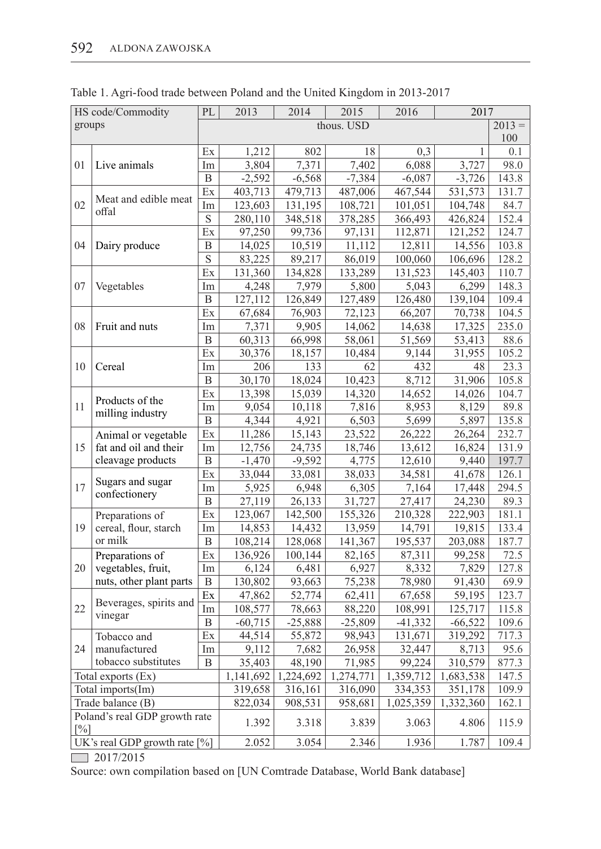| HS code/Commodity                       |                         | PL                      | 2013                   | 2014      | 2015      | 2016      | 2017      |       |
|-----------------------------------------|-------------------------|-------------------------|------------------------|-----------|-----------|-----------|-----------|-------|
| groups                                  |                         |                         | thous. USD<br>$2013 =$ |           |           |           |           |       |
|                                         |                         |                         |                        |           |           |           |           | 100   |
|                                         |                         | Ex                      | 1,212                  | 802       | 18        | 0,3       | 1         | 0.1   |
| 01                                      | Live animals            | Im                      | 3,804                  | 7,371     | 7,402     | 6,088     | 3,727     | 98.0  |
|                                         |                         | $\mathbf B$             | $-2,592$               | $-6,568$  | $-7,384$  | $-6,087$  | $-3,726$  | 143.8 |
| 02                                      | Meat and edible meat    | Ex                      | 403,713                | 479,713   | 487,006   | 467,544   | 531,573   | 131.7 |
|                                         | offal                   | Im                      | 123,603                | 131,195   | 108,721   | 101,051   | 104,748   | 84.7  |
|                                         |                         | $\mathbf S$             | 280,110                | 348,518   | 378,285   | 366,493   | 426,824   | 152.4 |
| 04                                      | Dairy produce           | Ex                      | 97,250                 | 99,736    | 97,131    | 112,871   | 121,252   | 124.7 |
|                                         |                         | B                       | 14,025                 | 10,519    | 11,112    | 12,811    | 14,556    | 103.8 |
|                                         |                         | $\overline{\mathbf{S}}$ | 83,225                 | 89,217    | 86,019    | 100,060   | 106,696   | 128.2 |
| 07                                      | Vegetables              | Ex                      | 131,360                | 134,828   | 133,289   | 131,523   | 145,403   | 110.7 |
|                                         |                         | Im                      | 4,248                  | 7,979     | 5,800     | 5,043     | 6,299     | 148.3 |
|                                         |                         | B                       | 127,112                | 126,849   | 127,489   | 126,480   | 139,104   | 109.4 |
|                                         | Fruit and nuts          | Ex                      | 67,684                 | 76,903    | 72,123    | 66,207    | 70,738    | 104.5 |
| 08                                      |                         | Im                      | 7,371                  | 9,905     | 14,062    | 14,638    | 17,325    | 235.0 |
|                                         |                         | B                       | 60,313                 | 66,998    | 58,061    | 51,569    | 53,413    | 88.6  |
|                                         |                         | Ex                      | 30,376                 | 18,157    | 10,484    | 9,144     | 31,955    | 105.2 |
| 10                                      | Cereal                  | Im                      | 206                    | 133       | 62        | 432       | 48        | 23.3  |
|                                         |                         | $\, {\bf B}$            | 30,170                 | 18,024    | 10,423    | 8,712     | 31,906    | 105.8 |
|                                         | Products of the         | Ex                      | 13,398                 | 15,039    | 14,320    | 14,652    | 14,026    | 104.7 |
| 11                                      |                         | Im                      | 9,054                  | 10,118    | 7,816     | 8,953     | 8,129     | 89.8  |
|                                         | milling industry        | $\mathbf B$             | 4,344                  | 4,921     | 6,503     | 5,699     | 5,897     | 135.8 |
| 15                                      | Animal or vegetable     | Ex                      | 11,286                 | 15,143    | 23,522    | 26,222    | 26,264    | 232.7 |
|                                         | fat and oil and their   | Im                      | 12,756                 | 24,735    | 18,746    | 13,612    | 16,824    | 131.9 |
|                                         | cleavage products       | B                       | $-1,470$               | $-9,592$  | 4,775     | 12,610    | 9,440     | 197.7 |
|                                         | Sugars and sugar        | Ex                      | 33,044                 | 33,081    | 38,033    | 34,581    | 41,678    | 126.1 |
| 17                                      |                         | Im                      | 5,925                  | 6,948     | 6,305     | 7,164     | 17,448    | 294.5 |
|                                         | confectionery           | B                       | 27,119                 | 26,133    | 31,727    | 27,417    | 24,230    | 89.3  |
|                                         | Preparations of         | Ex                      | 123,067                | 142,500   | 155,326   | 210,328   | 222,903   | 181.1 |
| 19                                      | cereal, flour, starch   | Im                      | 14,853                 | 14,432    | 13,959    | 14,791    | 19,815    | 133.4 |
|                                         | or milk                 | B                       | 108,214                | 128,068   | 141,367   | 195,537   | 203,088   | 187.7 |
|                                         | Preparations of         | Ex                      | 136,926                | 100,144   | 82,165    | 87,311    | 99,258    | 72.5  |
| 20                                      | vegetables, fruit,      | Im                      | 6,124                  | 6,481     | 6,927     | 8,332     | 7,829     | 127.8 |
|                                         | nuts, other plant parts | B                       | 130,802                | 93,663    | 75,238    | 78,980    | 91,430    | 69.9  |
|                                         | Beverages, spirits and  | Ex                      | 47,862                 | 52,774    | 62,411    | 67,658    | 59,195    | 123.7 |
| 22                                      |                         | Im                      | 108,577                | 78,663    | 88,220    | 108,991   | 125,717   | 115.8 |
|                                         | vinegar                 | B                       | $-60,715$              | $-25,888$ | $-25,809$ | $-41,332$ | $-66,522$ | 109.6 |
|                                         | Tobacco and             | Ex                      | 44,514                 | 55,872    | 98,943    | 131,671   | 319,292   | 717.3 |
| 24                                      | manufactured            | Im                      | 9,112                  | 7,682     | 26,958    | 32,447    | 8,713     | 95.6  |
|                                         | tobacco substitutes     | B                       | 35,403                 | 48,190    | 71,985    | 99,224    | 310,579   | 877.3 |
| Total exports (Ex)                      |                         |                         | 1,141,692              | 1,224,692 | 1,274,771 | 1,359,712 | 1,683,538 | 147.5 |
| Total imports(Im)                       |                         |                         | 319,658                | 316,161   | 316,090   | 334,353   | 351,178   | 109.9 |
| Trade balance (B)                       |                         |                         | 822,034                | 908,531   | 958,681   | 1,025,359 | 1,332,360 | 162.1 |
| Poland's real GDP growth rate           |                         |                         | 1.392                  | 3.318     | 3.839     | 3.063     | 4.806     | 115.9 |
| $[\%]$<br>UK's real GDP growth rate [%] |                         |                         | 2.052                  | 3.054     | 2.346     | 1.936     | 1.787     | 109.4 |
|                                         |                         |                         |                        |           |           |           |           |       |

Table 1. Agri-food trade between Poland and the United Kingdom in 2013-2017

 $2017/2015$ 

Source: own compilation based on [UN Comtrade Database, World Bank database]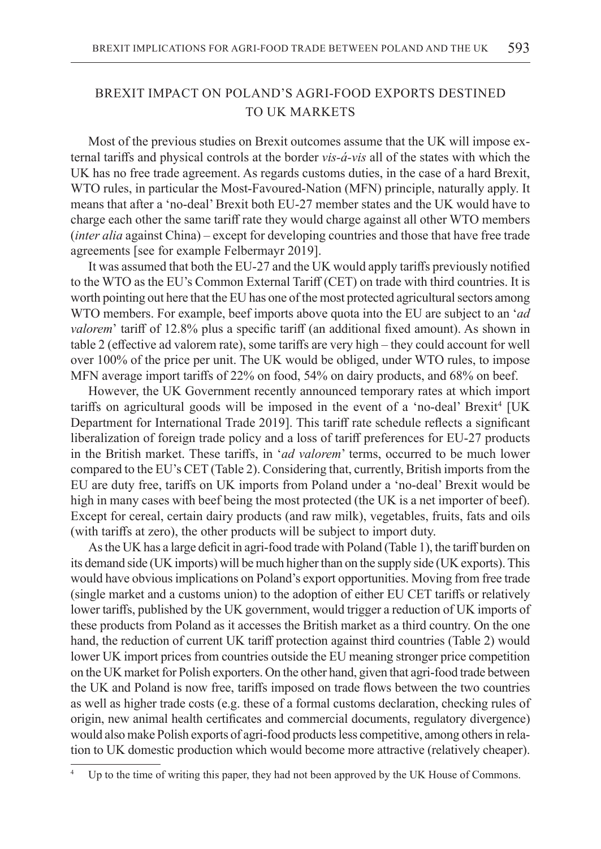# BREXIT IMPACT ON POLAND'S AGRI-FOOD EXPORTS DESTINED TO UK MARKETS

Most of the previous studies on Brexit outcomes assume that the UK will impose external tariffs and physical controls at the border *vis-á-vis* all of the states with which the UK has no free trade agreement. As regards customs duties, in the case of a hard Brexit, WTO rules, in particular the Most-Favoured-Nation (MFN) principle, naturally apply. It means that after a 'no-deal' Brexit both EU-27 member states and the UK would have to charge each other the same tariff rate they would charge against all other WTO members (*inter alia* against China) – except for developing countries and those that have free trade agreements [see for example Felbermayr 2019].

It was assumed that both the EU-27 and the UK would apply tariffs previously notified to the WTO as the EU's Common External Tariff (CET) on trade with third countries. It is worth pointing out here that the EU has one of the most protected agricultural sectors among WTO members. For example, beef imports above quota into the EU are subject to an '*ad valorem*' tariff of 12.8% plus a specific tariff (an additional fixed amount). As shown in table 2 (effective ad valorem rate), some tariffs are very high – they could account for well over 100% of the price per unit. The UK would be obliged, under WTO rules, to impose MFN average import tariffs of 22% on food, 54% on dairy products, and 68% on beef.

However, the UK Government recently announced temporary rates at which import tariffs on agricultural goods will be imposed in the event of a 'no-deal' Brexit<sup>4</sup> [UK Department for International Trade 2019]. This tariff rate schedule reflects a significant liberalization of foreign trade policy and a loss of tariff preferences for EU-27 products in the British market. These tariffs, in '*ad valorem*' terms, occurred to be much lower compared to the EU's CET (Table 2). Considering that, currently, British imports from the EU are duty free, tariffs on UK imports from Poland under a 'no-deal' Brexit would be high in many cases with beef being the most protected (the UK is a net importer of beef). Except for cereal, certain dairy products (and raw milk), vegetables, fruits, fats and oils (with tariffs at zero), the other products will be subject to import duty.

As the UK has a large deficit in agri-food trade with Poland (Table 1), the tariff burden on its demand side (UK imports) will be much higher than on the supply side (UK exports). This would have obvious implications on Poland's export opportunities. Moving from free trade (single market and a customs union) to the adoption of either EU CET tariffs or relatively lower tariffs, published by the UK government, would trigger a reduction of UK imports of these products from Poland as it accesses the British market as a third country. On the one hand, the reduction of current UK tariff protection against third countries (Table 2) would lower UK import prices from countries outside the EU meaning stronger price competition on the UK market for Polish exporters. On the other hand, given that agri-food trade between the UK and Poland is now free, tariffs imposed on trade flows between the two countries as well as higher trade costs (e.g. these of a formal customs declaration, checking rules of origin, new animal health certificates and commercial documents, regulatory divergence) would also make Polish exports of agri-food products less competitive, among others in relation to UK domestic production which would become more attractive (relatively cheaper).

Up to the time of writing this paper, they had not been approved by the UK House of Commons.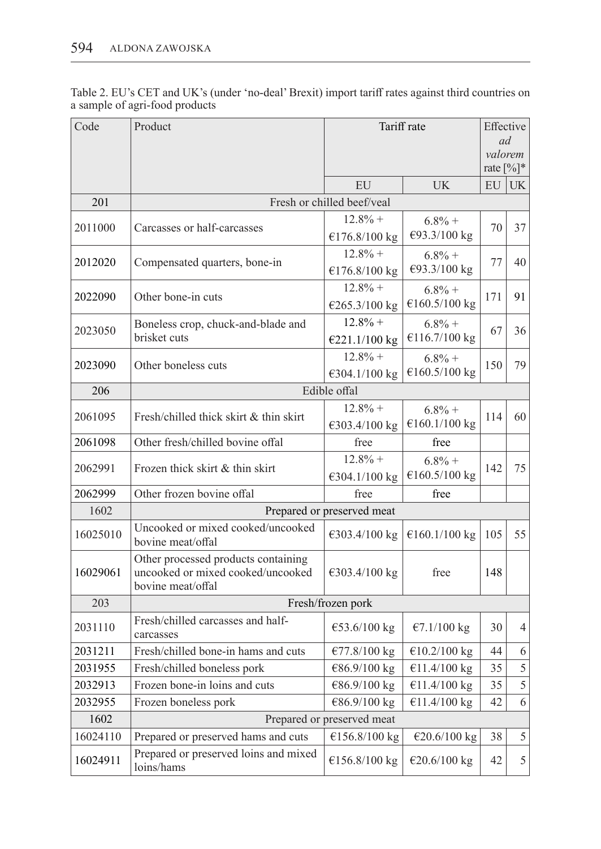Table 2. EU's CET and UK's (under 'no-deal' Brexit) import tariff rates against third countries on a sample of agri-food products

| Code     | Product                                                                                       | Tariff rate                |                            | Effective                           |           |  |  |  |
|----------|-----------------------------------------------------------------------------------------------|----------------------------|----------------------------|-------------------------------------|-----------|--|--|--|
|          |                                                                                               |                            |                            |                                     | ad        |  |  |  |
|          |                                                                                               |                            |                            | valorem<br>rate $\lceil\% \rceil^*$ |           |  |  |  |
|          |                                                                                               | EU                         | <b>UK</b>                  | EU                                  | <b>UK</b> |  |  |  |
| 201      |                                                                                               | Fresh or chilled beef/veal |                            |                                     |           |  |  |  |
|          |                                                                                               | $12.8%$ +                  | $6.8\% +$                  |                                     | 37        |  |  |  |
| 2011000  | Carcasses or half-carcasses                                                                   | €176.8/100 kg              | €93.3/100 kg               | 70                                  |           |  |  |  |
| 2012020  | Compensated quarters, bone-in                                                                 | $12.8\% +$                 | $6.8\% +$                  | 77                                  | 40        |  |  |  |
|          |                                                                                               | €176.8/100 kg              | €93.3/100 kg               |                                     |           |  |  |  |
| 2022090  | Other bone-in cuts                                                                            | $12.8%$ +                  | $6.8\% +$                  | 171                                 | 91        |  |  |  |
|          |                                                                                               | €265.3/100 kg              | €160.5/100 kg              |                                     |           |  |  |  |
| 2023050  | Boneless crop, chuck-and-blade and                                                            | $12.8%$ +                  | $6.8\% +$                  | 67                                  | 36        |  |  |  |
|          | brisket cuts                                                                                  | €221.1/100 kg              | €116.7/100 kg              |                                     |           |  |  |  |
| 2023090  | Other boneless cuts                                                                           | $12.8%$ +                  | $6.8\% +$                  | 150                                 | 79        |  |  |  |
|          |                                                                                               | €304.1/100 kg              | €160.5/100 kg              |                                     |           |  |  |  |
| 206      | Edible offal                                                                                  |                            |                            |                                     |           |  |  |  |
| 2061095  | Fresh/chilled thick skirt & thin skirt                                                        | $12.8\% +$                 | $6.8\% +$<br>€160.1/100 kg | 114                                 | 60        |  |  |  |
|          |                                                                                               | €303.4/100 kg              |                            |                                     |           |  |  |  |
| 2061098  | Other fresh/chilled bovine offal                                                              | free                       | free                       |                                     |           |  |  |  |
| 2062991  | Frozen thick skirt & thin skirt                                                               | $12.8%$ +                  | $6.8\% +$                  | 142                                 | 75        |  |  |  |
|          |                                                                                               | €304.1/100 kg              | €160.5/100 kg              |                                     |           |  |  |  |
| 2062999  | Other frozen bovine offal                                                                     | free                       | free                       |                                     |           |  |  |  |
| 1602     | Prepared or preserved meat                                                                    |                            |                            |                                     |           |  |  |  |
| 16025010 | Uncooked or mixed cooked/uncooked<br>bovine meat/offal                                        | €303.4/100 kg              | €160.1/100 kg              | 105                                 | 55        |  |  |  |
| 16029061 | Other processed products containing<br>uncooked or mixed cooked/uncooked<br>bovine meat/offal | €303.4/100 kg              | free                       | 148                                 |           |  |  |  |
| 203      | Fresh/frozen pork                                                                             |                            |                            |                                     |           |  |  |  |
| 2031110  | Fresh/chilled carcasses and half-<br>carcasses                                                | €53.6/100 kg               | €7.1/100 kg                | 30                                  | 4         |  |  |  |
| 2031211  | Fresh/chilled bone-in hams and cuts                                                           | €77.8/100 kg               | €10.2/100 kg               | 44                                  | 6         |  |  |  |
| 2031955  | Fresh/chilled boneless pork                                                                   | €86.9/100 kg               | €11.4/100 kg               | 35                                  | 5         |  |  |  |
| 2032913  | Frozen bone-in loins and cuts                                                                 | €86.9/100 kg               | €11.4/100 kg               | 35                                  | 5         |  |  |  |
| 2032955  | Frozen boneless pork                                                                          | €86.9/100 kg               | €11.4/100 kg               | 42                                  | 6         |  |  |  |
| 1602     | Prepared or preserved meat                                                                    |                            |                            |                                     |           |  |  |  |
| 16024110 | Prepared or preserved hams and cuts                                                           | €156.8/100 kg              | €20.6/100 kg               | 38                                  | 5         |  |  |  |
| 16024911 | Prepared or preserved loins and mixed<br>loins/hams                                           | €156.8/100 kg              | €20.6/100 kg               | 42                                  | 5         |  |  |  |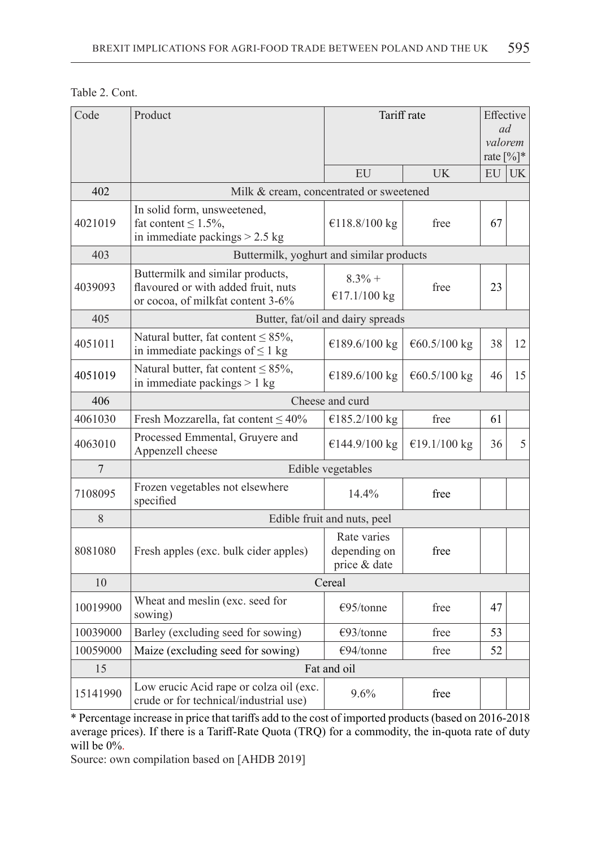| Table 2. Cont. |  |
|----------------|--|
|----------------|--|

| Code           | Product                                                                                                      | Tariff rate                                 |              | Effective<br>ad<br>valorem |           |  |  |  |
|----------------|--------------------------------------------------------------------------------------------------------------|---------------------------------------------|--------------|----------------------------|-----------|--|--|--|
|                |                                                                                                              |                                             |              | rate $[%]$ *               |           |  |  |  |
|                |                                                                                                              | EU                                          | <b>UK</b>    | EU                         | <b>UK</b> |  |  |  |
| 402            | Milk & cream, concentrated or sweetened                                                                      |                                             |              |                            |           |  |  |  |
| 4021019        | In solid form, unsweetened,<br>fat content $\leq 1.5\%$ ,<br>in immediate packings $> 2.5$ kg                | €118.8/100 kg                               | free         | 67                         |           |  |  |  |
| 403            | Buttermilk, yoghurt and similar products                                                                     |                                             |              |                            |           |  |  |  |
| 4039093        | Buttermilk and similar products,<br>flavoured or with added fruit, nuts<br>or cocoa, of milkfat content 3-6% | $8.3%$ +<br>€17.1/100 kg                    | free         | 23                         |           |  |  |  |
| 405            | Butter, fat/oil and dairy spreads                                                                            |                                             |              |                            |           |  |  |  |
| 4051011        | Natural butter, fat content $\leq$ 85%,<br>in immediate packings of $\leq 1$ kg                              | €189.6/100 kg                               | €60.5/100 kg | 38                         | 12        |  |  |  |
| 4051019        | Natural butter, fat content $\leq$ 85%,<br>in immediate packings $> 1$ kg                                    | €189.6/100 kg                               | €60.5/100 kg | 46                         | 15        |  |  |  |
| 406            |                                                                                                              | Cheese and curd                             |              |                            |           |  |  |  |
| 4061030        | Fresh Mozzarella, fat content $\leq 40\%$                                                                    | €185.2/100 kg                               | free         | 61                         |           |  |  |  |
| 4063010        | Processed Emmental, Gruyere and<br>Appenzell cheese                                                          | €144.9/100 kg                               | €19.1/100 kg | 36                         | 5         |  |  |  |
| $\overline{7}$ | Edible vegetables                                                                                            |                                             |              |                            |           |  |  |  |
| 7108095        | Frozen vegetables not elsewhere<br>specified                                                                 | 14.4%                                       | free         |                            |           |  |  |  |
| 8              | Edible fruit and nuts, peel                                                                                  |                                             |              |                            |           |  |  |  |
| 8081080        | Fresh apples (exc. bulk cider apples)                                                                        | Rate varies<br>depending on<br>price & date | free         |                            |           |  |  |  |
| 10             | Cereal                                                                                                       |                                             |              |                            |           |  |  |  |
| 10019900       | Wheat and meslin (exc. seed for<br>sowing)                                                                   | $\epsilon$ 95/tonne                         | free         | 47                         |           |  |  |  |
| 10039000       | Barley (excluding seed for sowing)                                                                           | $\epsilon$ 93/tonne                         | free         | 53                         |           |  |  |  |
| 10059000       | Maize (excluding seed for sowing)                                                                            | €94/tonne                                   | free         | 52                         |           |  |  |  |
| 15             | Fat and oil                                                                                                  |                                             |              |                            |           |  |  |  |
| 15141990       | Low erucic Acid rape or colza oil (exc.<br>crude or for technical/industrial use)                            | 9.6%                                        | free         |                            |           |  |  |  |

\* Percentage increase in price that tariffs add to the cost of imported products (based on 2016-2018 average prices). If there is a Tariff-Rate Quota (TRQ) for a commodity, the in-quota rate of duty will be 0%.

Source: own compilation based on [AHDB 2019]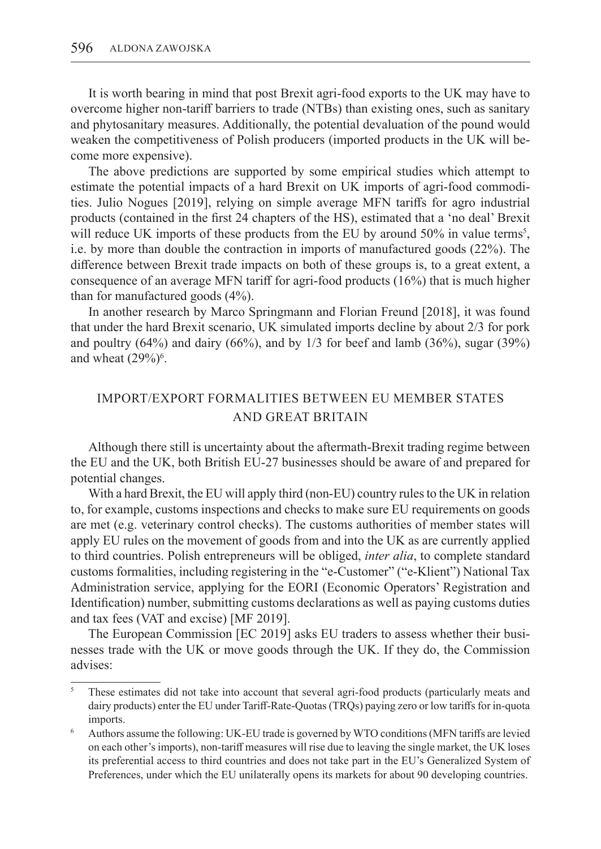It is worth bearing in mind that post Brexit agri-food exports to the UK may have to overcome higher non-tariff barriers to trade (NTBs) than existing ones, such as sanitary and phytosanitary measures. Additionally, the potential devaluation of the pound would weaken the competitiveness of Polish producers (imported products in the UK will become more expensive).

The above predictions are supported by some empirical studies which attempt to estimate the potential impacts of a hard Brexit on UK imports of agri-food commodities. Julio Nogues [2019], relying on simple average MFN tariffs for agro industrial products (contained in the first 24 chapters of the HS), estimated that a 'no deal' Brexit will reduce UK imports of these products from the EU by around 50% in value terms<sup>5</sup>, i.e. by more than double the contraction in imports of manufactured goods (22%). The difference between Brexit trade impacts on both of these groups is, to a great extent, a consequence of an average MFN tariff for agri-food products (16%) that is much higher than for manufactured goods (4%).

In another research by Marco Springmann and Florian Freund [2018], it was found that under the hard Brexit scenario, UK simulated imports decline by about 2/3 for pork and poultry  $(64%)$  and dairy  $(66%)$ , and by  $1/3$  for beef and lamb  $(36%)$ , sugar  $(39%)$ and wheat  $(29\%)$ <sup>6</sup>.

# IMPORT/EXPORT FORMALITIES BETWEEN EU MEMBER STATES AND GREAT BRITAIN

Although there still is uncertainty about the aftermath-Brexit trading regime between the EU and the UK, both British EU-27 businesses should be aware of and prepared for potential changes.

With a hard Brexit, the EU will apply third (non-EU) country rules to the UK in relation to, for example, customs inspections and checks to make sure EU requirements on goods are met (e.g. veterinary control checks). The customs authorities of member states will apply EU rules on the movement of goods from and into the UK as are currently applied to third countries. Polish entrepreneurs will be obliged, *inter alia*, to complete standard customs formalities, including registering in the "e-Customer" ("e-Klient") National Tax Administration service, applying for the EORI (Economic Operators' Registration and Identification) number, submitting customs declarations as well as paying customs duties and tax fees (VAT and excise) [MF 2019].

The European Commission [EC 2019] asks EU traders to assess whether their businesses trade with the UK or move goods through the UK. If they do, the Commission advises:

<sup>5</sup> These estimates did not take into account that several agri-food products (particularly meats and dairy products) enter the EU under Tariff-Rate-Quotas (TRQs) paying zero or low tariffs for in-quota imports.

<sup>6</sup> Authors assume the following: UK-EU trade is governed by WTO conditions (MFN tariffs are levied on each other's imports), non-tariff measures will rise due to leaving the single market, the UK loses its preferential access to third countries and does not take part in the EU's Generalized System of Preferences, under which the EU unilaterally opens its markets for about 90 developing countries.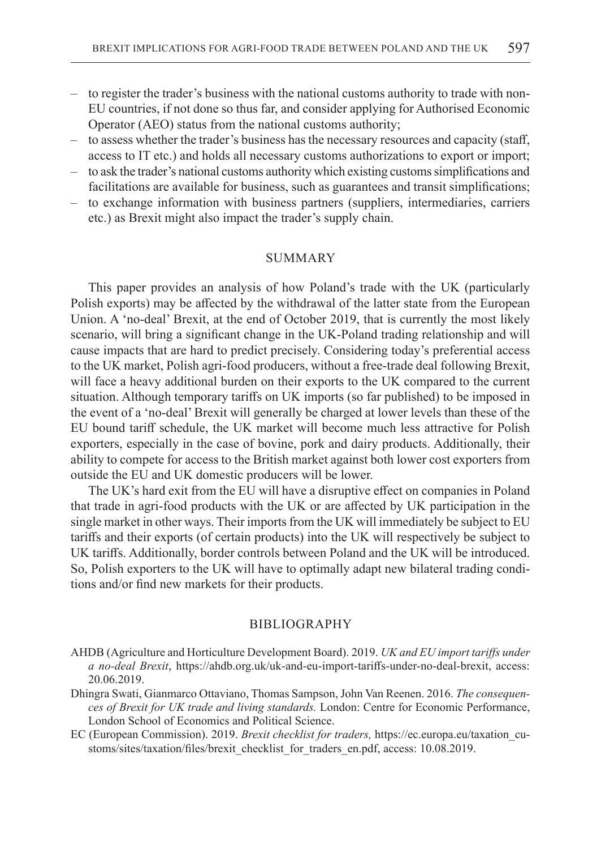- to register the trader's business with the national customs authority to trade with non-EU countries, if not done so thus far, and consider applying for Authorised Economic Operator (AEO) status from the national customs authority;
- to assess whether the trader's business has the necessary resources and capacity (staff, access to IT etc.) and holds all necessary customs authorizations to export or import;
- to ask the trader's national customs authority which existing customs simplifications and facilitations are available for business, such as guarantees and transit simplifications;
- to exchange information with business partners (suppliers, intermediaries, carriers etc.) as Brexit might also impact the trader's supply chain.

### **SUMMARY**

This paper provides an analysis of how Poland's trade with the UK (particularly Polish exports) may be affected by the withdrawal of the latter state from the European Union. A 'no-deal' Brexit, at the end of October 2019, that is currently the most likely scenario, will bring a significant change in the UK-Poland trading relationship and will cause impacts that are hard to predict precisely. Considering today's preferential access to the UK market, Polish agri-food producers, without a free-trade deal following Brexit, will face a heavy additional burden on their exports to the UK compared to the current situation. Although temporary tariffs on UK imports (so far published) to be imposed in the event of a 'no-deal' Brexit will generally be charged at lower levels than these of the EU bound tariff schedule, the UK market will become much less attractive for Polish exporters, especially in the case of bovine, pork and dairy products. Additionally, their ability to compete for access to the British market against both lower cost exporters from outside the EU and UK domestic producers will be lower.

The UK's hard exit from the EU will have a disruptive effect on companies in Poland that trade in agri-food products with the UK or are affected by UK participation in the single market in other ways. Their imports from the UK will immediately be subject to EU tariffs and their exports (of certain products) into the UK will respectively be subject to UK tariffs. Additionally, border controls between Poland and the UK will be introduced. So, Polish exporters to the UK will have to optimally adapt new bilateral trading conditions and/or find new markets for their products.

## BIBLIOGRAPHY

- AHDB (Agriculture and Horticulture Development Board). 2019. *UK and EU import tariffs under a no-deal Brexit*, https://ahdb.org.uk/uk-and-eu-import-tariffs-under-no-deal-brexit, access: 20.06.2019.
- Dhingra Swati, Gianmarco Ottaviano, Thomas Sampson, John Van Reenen. 2016. *The consequences of Brexit for UK trade and living standards.* London: Centre for Economic Performance, London School of Economics and Political Science.
- EC (European Commission). 2019. *Brexit checklist for traders,* https://ec.europa.eu/taxation\_customs/sites/taxation/files/brexit\_checklist\_for\_traders\_en.pdf, access: 10.08.2019.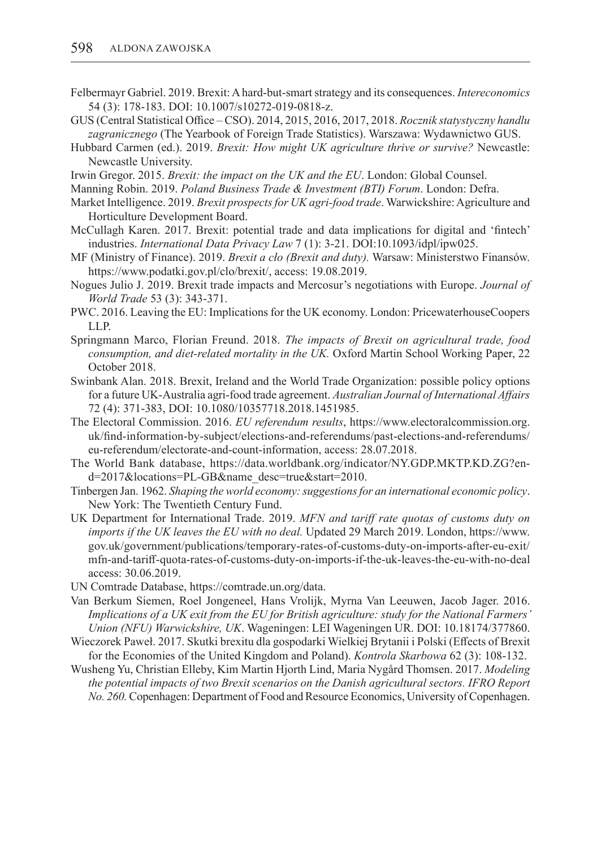- Felbermayr Gabriel. 2019. Brexit: A hard-but-smart strategy and its consequences. *Intereconomics* 54 (3): 178-183. DOI: 10.1007/s10272-019-0818-z.
- GUS (Central Statistical Office CSO). 2014, 2015, 2016, 2017, 2018. *Rocznik statystyczny handlu zagranicznego* (The Yearbook of Foreign Trade Statistics). Warszawa: Wydawnictwo GUS.
- Hubbard Carmen (ed.). 2019. *Brexit: How might UK agriculture thrive or survive?* Newcastle: Newcastle University.
- Irwin Gregor. 2015. *Brexit: the impact on the UK and the EU*. London: Global Counsel.
- Manning Robin. 2019. *Poland Business Trade & Investment (BTI) Forum*. London: Defra.
- Market Intelligence. 2019. *Brexit prospects for UK agri-food trade*. Warwickshire: Agriculture and Horticulture Development Board.
- McCullagh Karen. 2017. Brexit: potential trade and data implications for digital and 'fintech' industries. *International Data Privacy Law* 7 (1): 3-21. DOI:10.1093/idpl/ipw025.
- MF (Ministry of Finance). 2019. *Brexit a cło (Brexit and duty).* Warsaw: Ministerstwo Finansów. https://www.podatki.gov.pl/clo/brexit/, access: 19.08.2019.
- Nogues Julio J. 2019. Brexit trade impacts and Mercosur's negotiations with Europe. *Journal of World Trade* 53 (3): 343-371.
- PWC. 2016. Leaving the EU: Implications for the UK economy. London: PricewaterhouseCoopers LLP.
- Springmann Marco, Florian Freund. 2018. *The impacts of Brexit on agricultural trade, food consumption, and diet-related mortality in the UK.* Oxford Martin School Working Paper, 22 October 2018.
- Swinbank Alan. 2018. Brexit, Ireland and the World Trade Organization: possible policy options for a future UK-Australia agri-food trade agreement. *Australian Journal of International Affairs* 72 (4): 371-383, DOI: 10.1080/10357718.2018.1451985.
- The Electoral Commission. 2016. *EU referendum results*, https://www.electoralcommission.org. uk/find-information-by-subject/elections-and-referendums/past-elections-and-referendums/ eu-referendum/electorate-and-count-information, access: 28.07.2018.
- The World Bank database, https://data.worldbank.org/indicator/NY.GDP.MKTP.KD.ZG?end=2017&locations=PL-GB&name\_desc=true&start=2010.
- Tinbergen Jan. 1962. *Shaping the world economy: suggestions for an international economic policy*. New York: The Twentieth Century Fund.
- UK Department for International Trade. 2019. *MFN and tariff rate quotas of customs duty on imports if the UK leaves the EU with no deal.* Updated 29 March 2019. London, https://www. gov.uk/government/publications/temporary-rates-of-customs-duty-on-imports-after-eu-exit/ mfn-and-tariff-quota-rates-of-customs-duty-on-imports-if-the-uk-leaves-the-eu-with-no-deal access: 30.06.2019.
- UN Comtrade Database, https://comtrade.un.org/data.
- Van Berkum Siemen, Roel Jongeneel, Hans Vrolijk, Myrna Van Leeuwen, Jacob Jager. 2016. *Implications of a UK exit from the EU for British agriculture: study for the National Farmers' Union (NFU) Warwickshire, UK*. Wageningen: LEI Wageningen UR. DOI: 10.18174/377860.
- Wieczorek Paweł. 2017. Skutki brexitu dla gospodarki Wielkiej Brytanii i Polski (Effects of Brexit for the Economies of the United Kingdom and Poland). *Kontrola Skarbowa* 62 (3): 108-132.
- Wusheng Yu, Christian Elleby, Kim Martin Hjorth Lind, Maria Nygård Thomsen. 2017. *Modeling the potential impacts of two Brexit scenarios on the Danish agricultural sectors. IFRO Report No. 260.* Copenhagen: Department of Food and Resource Economics, University of Copenhagen.